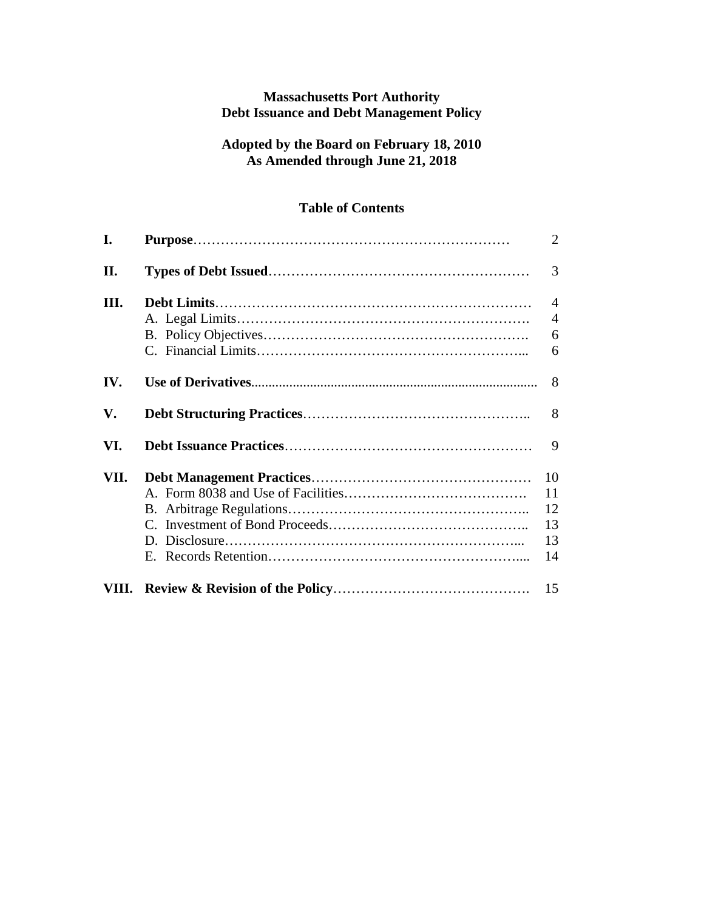## **Massachusetts Port Authority Debt Issuance and Debt Management Policy**

## **Adopted by the Board on February 18, 2010 As Amended through June 21, 2018**

# **Table of Contents**

| I.   | $\overline{2}$ |
|------|----------------|
| II.  | 3              |
| Ш.   | $\overline{4}$ |
|      | $\overline{4}$ |
|      | 6              |
|      | 6              |
| IV.  | 8              |
| V.   | 8              |
| VI.  | 9              |
| VII. | 10             |
|      | 11             |
|      | 12             |
|      | 13             |
|      | 13             |
|      | 14             |
|      | 15             |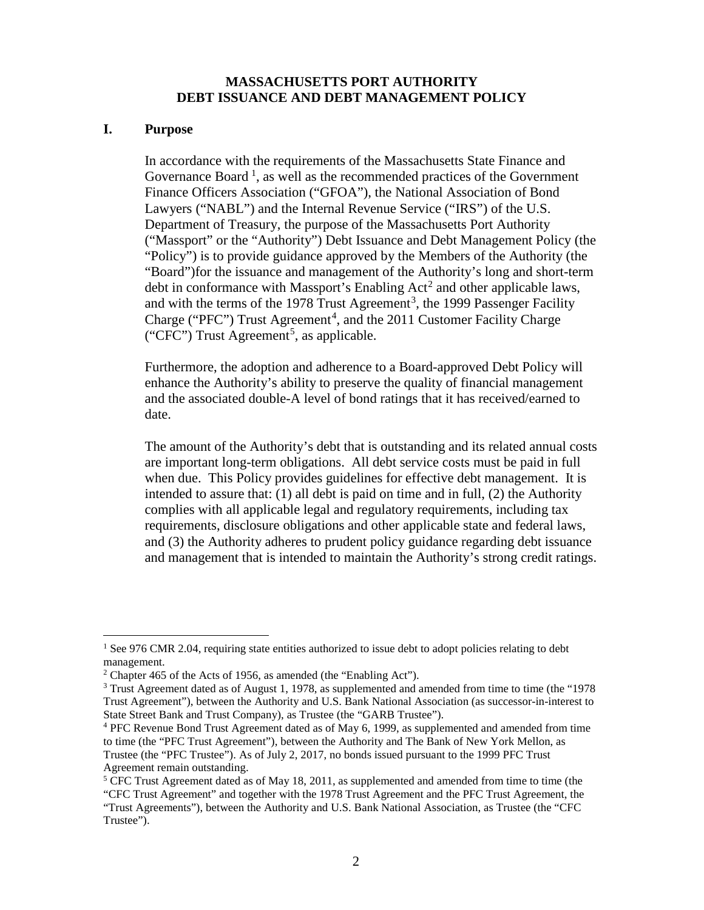#### **MASSACHUSETTS PORT AUTHORITY DEBT ISSUANCE AND DEBT MANAGEMENT POLICY**

#### **I. Purpose**

In accordance with the requirements of the Massachusetts State Finance and Governance Board<sup>[1](#page-1-0)</sup>, as well as the recommended practices of the Government Finance Officers Association ("GFOA"), the National Association of Bond Lawyers ("NABL") and the Internal Revenue Service ("IRS") of the U.S. Department of Treasury, the purpose of the Massachusetts Port Authority ("Massport" or the "Authority") Debt Issuance and Debt Management Policy (the "Policy") is to provide guidance approved by the Members of the Authority (the "Board")for the issuance and management of the Authority's long and short-term debt in conformance with Massport's Enabling  $Act<sup>2</sup>$  $Act<sup>2</sup>$  $Act<sup>2</sup>$  and other applicable laws, and with the terms of the 1978 Trust Agreement<sup>[3](#page-1-2)</sup>, the 1999 Passenger Facility Charge ("PFC") Trust Agreement<sup>[4](#page-1-3)</sup>, and the 2011 Customer Facility Charge ("CFC") Trust Agreement<sup>[5](#page-1-4)</sup>, as applicable.

Furthermore, the adoption and adherence to a Board-approved Debt Policy will enhance the Authority's ability to preserve the quality of financial management and the associated double-A level of bond ratings that it has received/earned to date.

The amount of the Authority's debt that is outstanding and its related annual costs are important long-term obligations. All debt service costs must be paid in full when due. This Policy provides guidelines for effective debt management. It is intended to assure that: (1) all debt is paid on time and in full, (2) the Authority complies with all applicable legal and regulatory requirements, including tax requirements, disclosure obligations and other applicable state and federal laws, and (3) the Authority adheres to prudent policy guidance regarding debt issuance and management that is intended to maintain the Authority's strong credit ratings.

<span id="page-1-0"></span><sup>&</sup>lt;sup>1</sup> See 976 CMR 2.04, requiring state entities authorized to issue debt to adopt policies relating to debt management.

<span id="page-1-1"></span> $2$  Chapter 465 of the Acts of 1956, as amended (the "Enabling Act").

<span id="page-1-2"></span> $3$  Trust Agreement dated as of August 1, 1978, as supplemented and amended from time to time (the "1978 Trust Agreement"), between the Authority and U.S. Bank National Association (as successor-in-interest to State Street Bank and Trust Company), as Trustee (the "GARB Trustee").

<span id="page-1-3"></span> $4$  PFC Revenue Bond Trust Agreement dated as of May 6, 1999, as supplemented and amended from time to time (the "PFC Trust Agreement"), between the Authority and The Bank of New York Mellon, as Trustee (the "PFC Trustee"). As of July 2, 2017, no bonds issued pursuant to the 1999 PFC Trust Agreement remain outstanding.

<span id="page-1-4"></span><sup>&</sup>lt;sup>5</sup> CFC Trust Agreement dated as of May 18, 2011, as supplemented and amended from time to time (the

<sup>&</sup>quot;CFC Trust Agreement" and together with the 1978 Trust Agreement and the PFC Trust Agreement, the "Trust Agreements"), between the Authority and U.S. Bank National Association, as Trustee (the "CFC Trustee").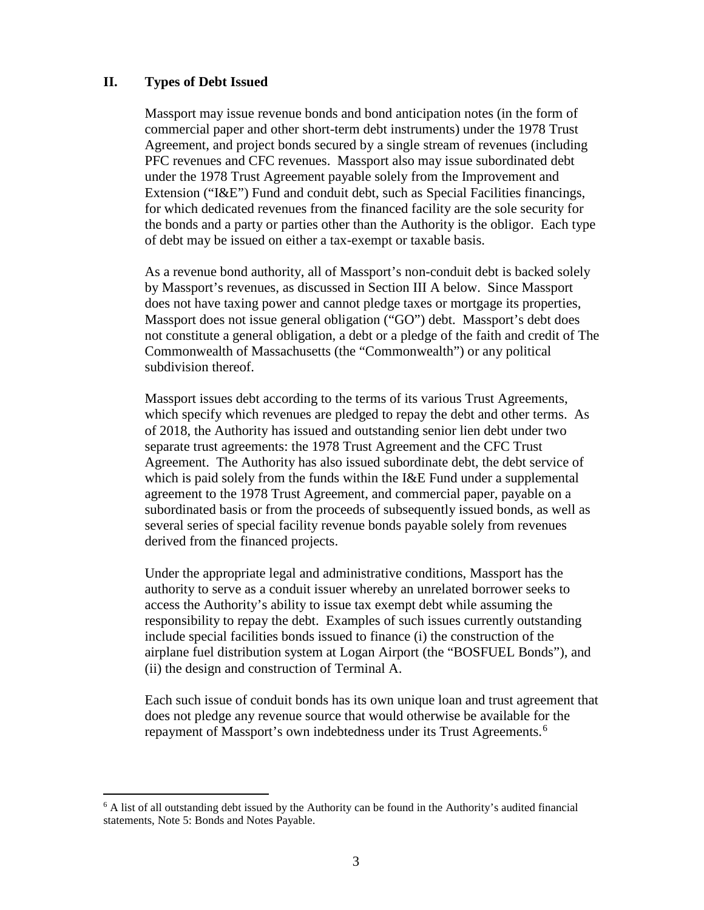#### **II. Types of Debt Issued**

Massport may issue revenue bonds and bond anticipation notes (in the form of commercial paper and other short-term debt instruments) under the 1978 Trust Agreement, and project bonds secured by a single stream of revenues (including PFC revenues and CFC revenues. Massport also may issue subordinated debt under the 1978 Trust Agreement payable solely from the Improvement and Extension ("I&E") Fund and conduit debt, such as Special Facilities financings, for which dedicated revenues from the financed facility are the sole security for the bonds and a party or parties other than the Authority is the obligor. Each type of debt may be issued on either a tax-exempt or taxable basis.

As a revenue bond authority, all of Massport's non-conduit debt is backed solely by Massport's revenues, as discussed in Section III A below. Since Massport does not have taxing power and cannot pledge taxes or mortgage its properties, Massport does not issue general obligation ("GO") debt. Massport's debt does not constitute a general obligation, a debt or a pledge of the faith and credit of The Commonwealth of Massachusetts (the "Commonwealth") or any political subdivision thereof.

Massport issues debt according to the terms of its various Trust Agreements, which specify which revenues are pledged to repay the debt and other terms. As of 2018, the Authority has issued and outstanding senior lien debt under two separate trust agreements: the 1978 Trust Agreement and the CFC Trust Agreement. The Authority has also issued subordinate debt, the debt service of which is paid solely from the funds within the I&E Fund under a supplemental agreement to the 1978 Trust Agreement, and commercial paper, payable on a subordinated basis or from the proceeds of subsequently issued bonds, as well as several series of special facility revenue bonds payable solely from revenues derived from the financed projects.

Under the appropriate legal and administrative conditions, Massport has the authority to serve as a conduit issuer whereby an unrelated borrower seeks to access the Authority's ability to issue tax exempt debt while assuming the responsibility to repay the debt. Examples of such issues currently outstanding include special facilities bonds issued to finance (i) the construction of the airplane fuel distribution system at Logan Airport (the "BOSFUEL Bonds"), and (ii) the design and construction of Terminal A.

Each such issue of conduit bonds has its own unique loan and trust agreement that does not pledge any revenue source that would otherwise be available for the repayment of Massport's own indebtedness under its Trust Agreements.<sup>[6](#page-2-0)</sup>

<span id="page-2-0"></span> $6$  A list of all outstanding debt issued by the Authority can be found in the Authority's audited financial statements, Note 5: Bonds and Notes Payable.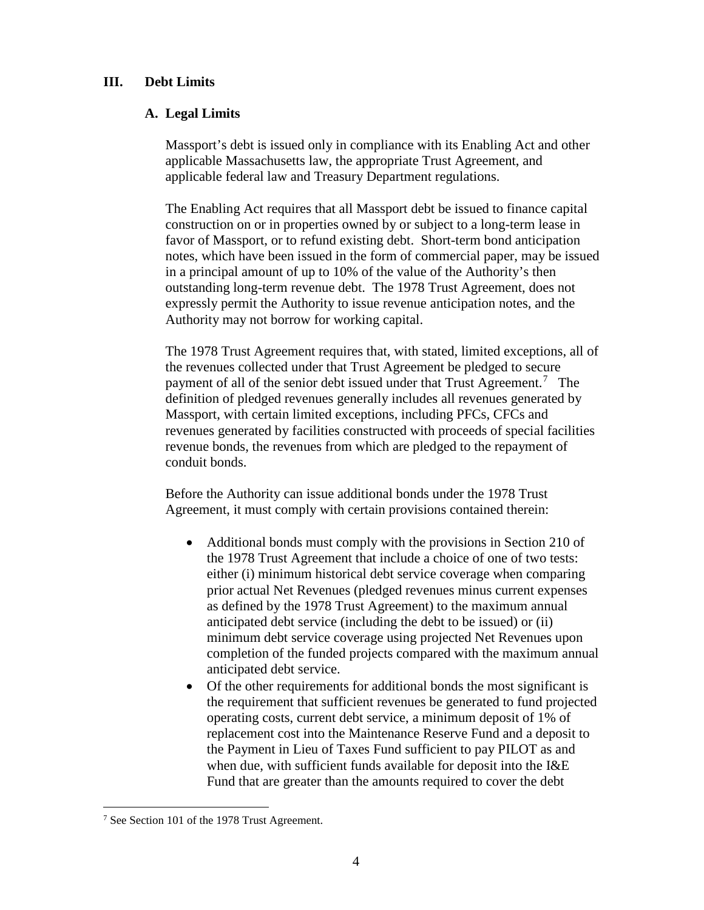#### **III. Debt Limits**

#### **A. Legal Limits**

Massport's debt is issued only in compliance with its Enabling Act and other applicable Massachusetts law, the appropriate Trust Agreement, and applicable federal law and Treasury Department regulations.

The Enabling Act requires that all Massport debt be issued to finance capital construction on or in properties owned by or subject to a long-term lease in favor of Massport, or to refund existing debt. Short-term bond anticipation notes, which have been issued in the form of commercial paper, may be issued in a principal amount of up to 10% of the value of the Authority's then outstanding long-term revenue debt. The 1978 Trust Agreement, does not expressly permit the Authority to issue revenue anticipation notes, and the Authority may not borrow for working capital.

The 1978 Trust Agreement requires that, with stated, limited exceptions, all of the revenues collected under that Trust Agreement be pledged to secure payment of all of the senior debt issued under that Trust Agreement.<sup>[7](#page-3-0)</sup> The definition of pledged revenues generally includes all revenues generated by Massport, with certain limited exceptions, including PFCs, CFCs and revenues generated by facilities constructed with proceeds of special facilities revenue bonds, the revenues from which are pledged to the repayment of conduit bonds.

Before the Authority can issue additional bonds under the 1978 Trust Agreement, it must comply with certain provisions contained therein:

- Additional bonds must comply with the provisions in Section 210 of the 1978 Trust Agreement that include a choice of one of two tests: either (i) minimum historical debt service coverage when comparing prior actual Net Revenues (pledged revenues minus current expenses as defined by the 1978 Trust Agreement) to the maximum annual anticipated debt service (including the debt to be issued) or (ii) minimum debt service coverage using projected Net Revenues upon completion of the funded projects compared with the maximum annual anticipated debt service.
- Of the other requirements for additional bonds the most significant is the requirement that sufficient revenues be generated to fund projected operating costs, current debt service, a minimum deposit of 1% of replacement cost into the Maintenance Reserve Fund and a deposit to the Payment in Lieu of Taxes Fund sufficient to pay PILOT as and when due, with sufficient funds available for deposit into the I&E Fund that are greater than the amounts required to cover the debt

<span id="page-3-0"></span> <sup>7</sup> See Section 101 of the 1978 Trust Agreement.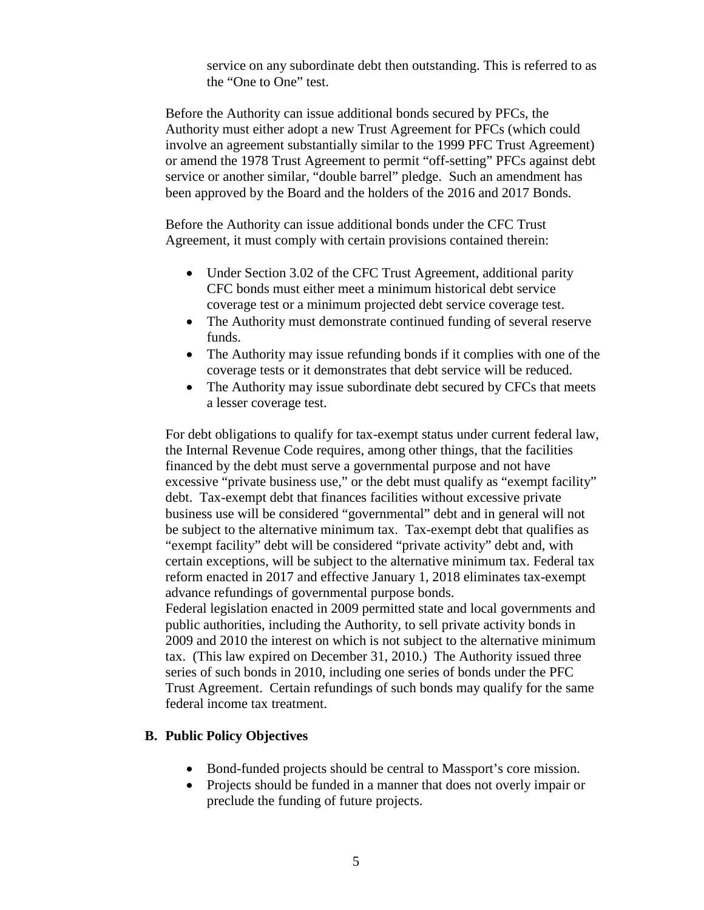service on any subordinate debt then outstanding. This is referred to as the "One to One" test.

Before the Authority can issue additional bonds secured by PFCs, the Authority must either adopt a new Trust Agreement for PFCs (which could involve an agreement substantially similar to the 1999 PFC Trust Agreement) or amend the 1978 Trust Agreement to permit "off-setting" PFCs against debt service or another similar, "double barrel" pledge. Such an amendment has been approved by the Board and the holders of the 2016 and 2017 Bonds.

Before the Authority can issue additional bonds under the CFC Trust Agreement, it must comply with certain provisions contained therein:

- Under Section 3.02 of the CFC Trust Agreement, additional parity CFC bonds must either meet a minimum historical debt service coverage test or a minimum projected debt service coverage test.
- The Authority must demonstrate continued funding of several reserve funds.
- The Authority may issue refunding bonds if it complies with one of the coverage tests or it demonstrates that debt service will be reduced.
- The Authority may issue subordinate debt secured by CFCs that meets a lesser coverage test.

For debt obligations to qualify for tax-exempt status under current federal law, the Internal Revenue Code requires, among other things, that the facilities financed by the debt must serve a governmental purpose and not have excessive "private business use," or the debt must qualify as "exempt facility" debt. Tax-exempt debt that finances facilities without excessive private business use will be considered "governmental" debt and in general will not be subject to the alternative minimum tax. Tax-exempt debt that qualifies as "exempt facility" debt will be considered "private activity" debt and, with certain exceptions, will be subject to the alternative minimum tax. Federal tax reform enacted in 2017 and effective January 1, 2018 eliminates tax-exempt advance refundings of governmental purpose bonds. Federal legislation enacted in 2009 permitted state and local governments and public authorities, including the Authority, to sell private activity bonds in

2009 and 2010 the interest on which is not subject to the alternative minimum tax. (This law expired on December 31, 2010.) The Authority issued three series of such bonds in 2010, including one series of bonds under the PFC Trust Agreement. Certain refundings of such bonds may qualify for the same federal income tax treatment.

### **B. Public Policy Objectives**

- Bond-funded projects should be central to Massport's core mission.
- Projects should be funded in a manner that does not overly impair or preclude the funding of future projects.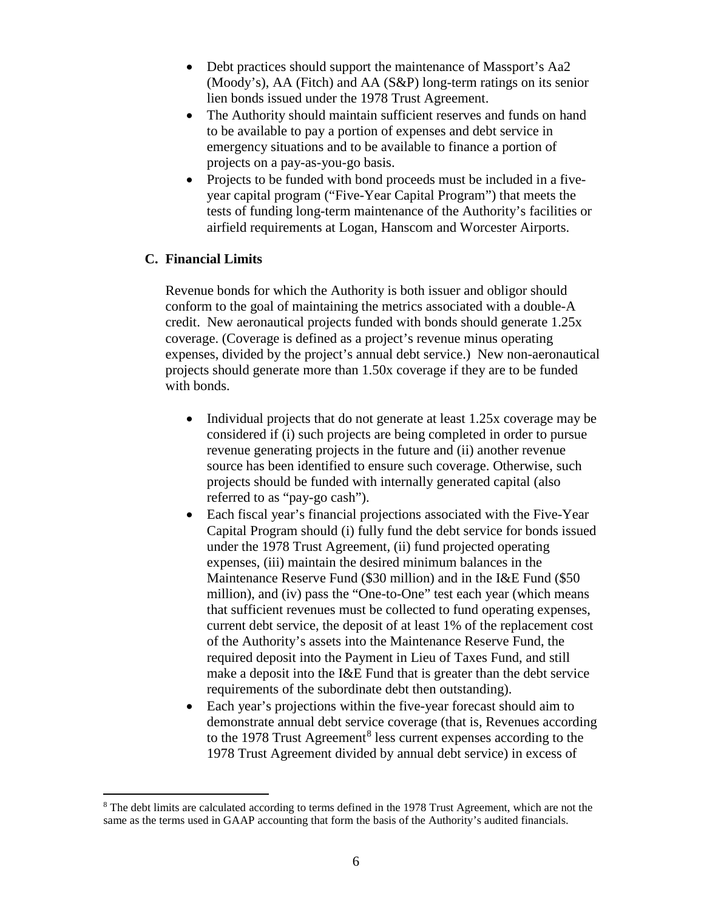- Debt practices should support the maintenance of Massport's Aa2 (Moody's), AA (Fitch) and AA (S&P) long-term ratings on its senior lien bonds issued under the 1978 Trust Agreement.
- The Authority should maintain sufficient reserves and funds on hand to be available to pay a portion of expenses and debt service in emergency situations and to be available to finance a portion of projects on a pay-as-you-go basis.
- Projects to be funded with bond proceeds must be included in a fiveyear capital program ("Five-Year Capital Program") that meets the tests of funding long-term maintenance of the Authority's facilities or airfield requirements at Logan, Hanscom and Worcester Airports.

### **C. Financial Limits**

Revenue bonds for which the Authority is both issuer and obligor should conform to the goal of maintaining the metrics associated with a double-A credit. New aeronautical projects funded with bonds should generate 1.25x coverage. (Coverage is defined as a project's revenue minus operating expenses, divided by the project's annual debt service.) New non-aeronautical projects should generate more than 1.50x coverage if they are to be funded with bonds.

- Individual projects that do not generate at least 1.25x coverage may be considered if (i) such projects are being completed in order to pursue revenue generating projects in the future and (ii) another revenue source has been identified to ensure such coverage. Otherwise, such projects should be funded with internally generated capital (also referred to as "pay-go cash").
- Each fiscal year's financial projections associated with the Five-Year Capital Program should (i) fully fund the debt service for bonds issued under the 1978 Trust Agreement, (ii) fund projected operating expenses, (iii) maintain the desired minimum balances in the Maintenance Reserve Fund (\$30 million) and in the I&E Fund (\$50 million), and (iv) pass the "One-to-One" test each year (which means that sufficient revenues must be collected to fund operating expenses, current debt service, the deposit of at least 1% of the replacement cost of the Authority's assets into the Maintenance Reserve Fund, the required deposit into the Payment in Lieu of Taxes Fund, and still make a deposit into the I&E Fund that is greater than the debt service requirements of the subordinate debt then outstanding).
- Each year's projections within the five-year forecast should aim to demonstrate annual debt service coverage (that is, Revenues according to the 197[8](#page-5-0) Trust Agreement<sup>8</sup> less current expenses according to the 1978 Trust Agreement divided by annual debt service) in excess of

<span id="page-5-0"></span><sup>&</sup>lt;sup>8</sup> The debt limits are calculated according to terms defined in the 1978 Trust Agreement, which are not the same as the terms used in GAAP accounting that form the basis of the Authority's audited financials.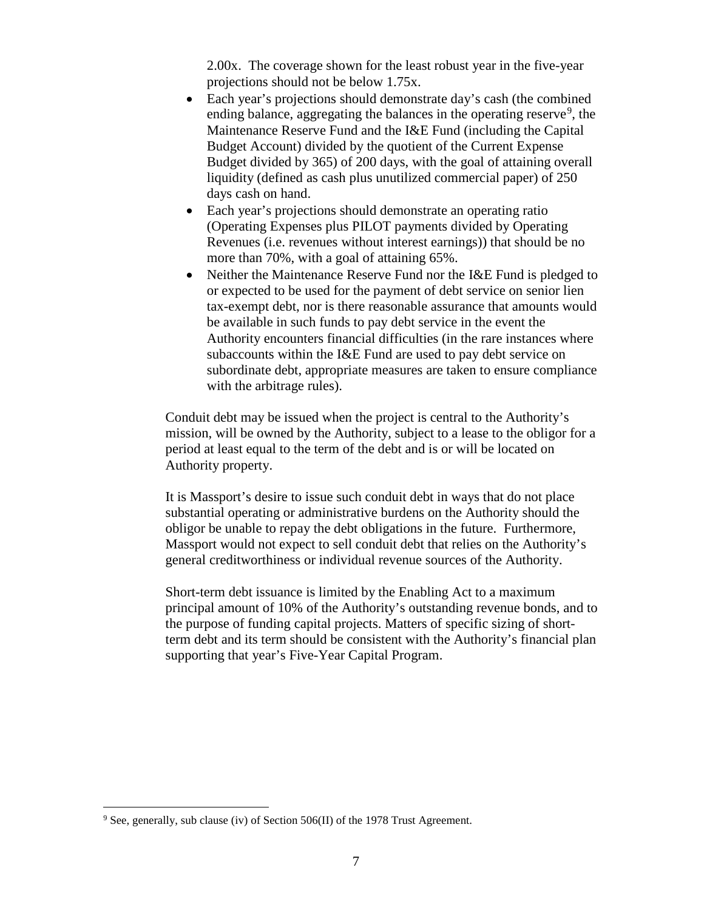2.00x. The coverage shown for the least robust year in the five-year projections should not be below 1.75x.

- Each year's projections should demonstrate day's cash (the combined ending balance, aggregating the balances in the operating reserve<sup>[9](#page-6-0)</sup>, the Maintenance Reserve Fund and the I&E Fund (including the Capital Budget Account) divided by the quotient of the Current Expense Budget divided by 365) of 200 days, with the goal of attaining overall liquidity (defined as cash plus unutilized commercial paper) of 250 days cash on hand.
- Each year's projections should demonstrate an operating ratio (Operating Expenses plus PILOT payments divided by Operating Revenues (i.e. revenues without interest earnings)) that should be no more than 70%, with a goal of attaining 65%.
- Neither the Maintenance Reserve Fund nor the I&E Fund is pledged to or expected to be used for the payment of debt service on senior lien tax-exempt debt, nor is there reasonable assurance that amounts would be available in such funds to pay debt service in the event the Authority encounters financial difficulties (in the rare instances where subaccounts within the I&E Fund are used to pay debt service on subordinate debt, appropriate measures are taken to ensure compliance with the arbitrage rules).

Conduit debt may be issued when the project is central to the Authority's mission, will be owned by the Authority, subject to a lease to the obligor for a period at least equal to the term of the debt and is or will be located on Authority property.

It is Massport's desire to issue such conduit debt in ways that do not place substantial operating or administrative burdens on the Authority should the obligor be unable to repay the debt obligations in the future. Furthermore, Massport would not expect to sell conduit debt that relies on the Authority's general creditworthiness or individual revenue sources of the Authority.

Short-term debt issuance is limited by the Enabling Act to a maximum principal amount of 10% of the Authority's outstanding revenue bonds, and to the purpose of funding capital projects. Matters of specific sizing of shortterm debt and its term should be consistent with the Authority's financial plan supporting that year's Five-Year Capital Program.

<span id="page-6-0"></span> $9$  See, generally, sub clause (iv) of Section 506(II) of the 1978 Trust Agreement.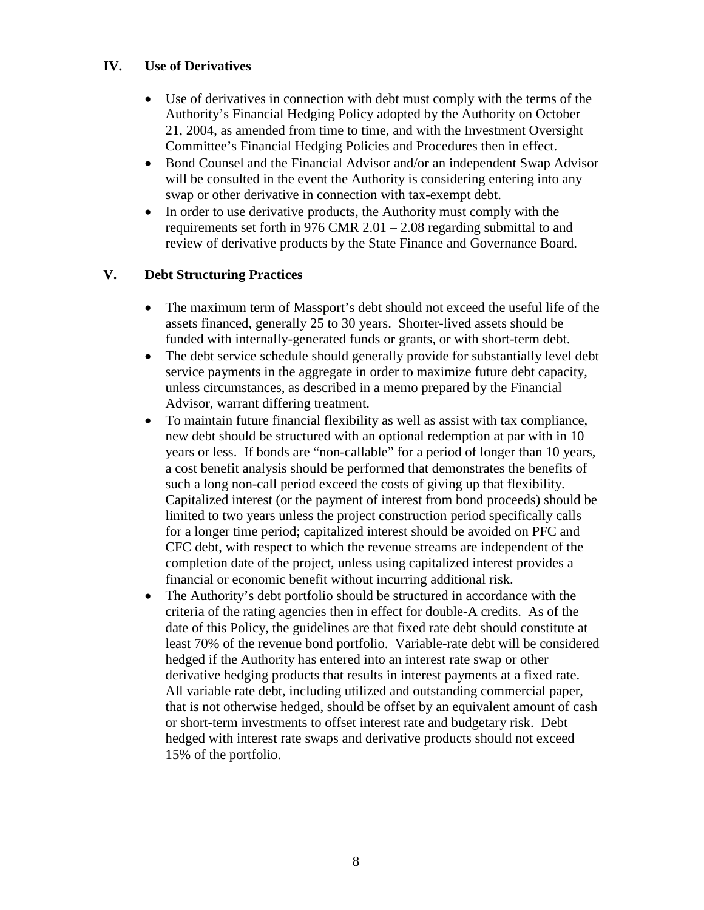## **IV. Use of Derivatives**

- Use of derivatives in connection with debt must comply with the terms of the Authority's Financial Hedging Policy adopted by the Authority on October 21, 2004, as amended from time to time, and with the Investment Oversight Committee's Financial Hedging Policies and Procedures then in effect.
- Bond Counsel and the Financial Advisor and/or an independent Swap Advisor will be consulted in the event the Authority is considering entering into any swap or other derivative in connection with tax-exempt debt.
- In order to use derivative products, the Authority must comply with the requirements set forth in 976 CMR 2.01 – 2.08 regarding submittal to and review of derivative products by the State Finance and Governance Board.

## **V. Debt Structuring Practices**

- The maximum term of Massport's debt should not exceed the useful life of the assets financed, generally 25 to 30 years. Shorter-lived assets should be funded with internally-generated funds or grants, or with short-term debt.
- The debt service schedule should generally provide for substantially level debt service payments in the aggregate in order to maximize future debt capacity, unless circumstances, as described in a memo prepared by the Financial Advisor, warrant differing treatment.
- To maintain future financial flexibility as well as assist with tax compliance, new debt should be structured with an optional redemption at par with in 10 years or less. If bonds are "non-callable" for a period of longer than 10 years, a cost benefit analysis should be performed that demonstrates the benefits of such a long non-call period exceed the costs of giving up that flexibility. Capitalized interest (or the payment of interest from bond proceeds) should be limited to two years unless the project construction period specifically calls for a longer time period; capitalized interest should be avoided on PFC and CFC debt, with respect to which the revenue streams are independent of the completion date of the project, unless using capitalized interest provides a financial or economic benefit without incurring additional risk.
- The Authority's debt portfolio should be structured in accordance with the criteria of the rating agencies then in effect for double-A credits. As of the date of this Policy, the guidelines are that fixed rate debt should constitute at least 70% of the revenue bond portfolio. Variable-rate debt will be considered hedged if the Authority has entered into an interest rate swap or other derivative hedging products that results in interest payments at a fixed rate. All variable rate debt, including utilized and outstanding commercial paper, that is not otherwise hedged, should be offset by an equivalent amount of cash or short-term investments to offset interest rate and budgetary risk. Debt hedged with interest rate swaps and derivative products should not exceed 15% of the portfolio.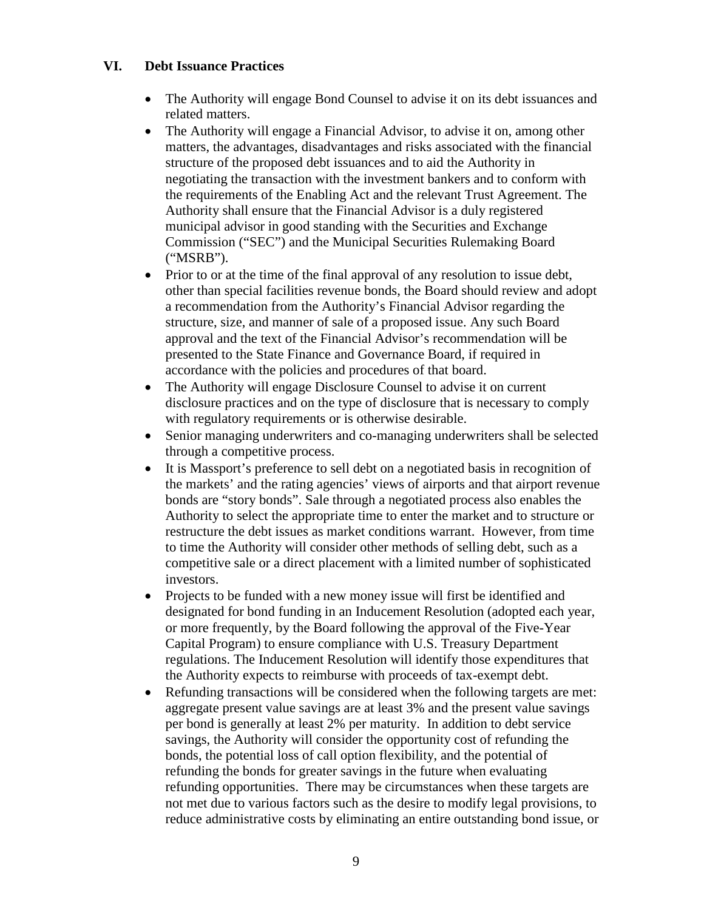#### **VI. Debt Issuance Practices**

- The Authority will engage Bond Counsel to advise it on its debt issuances and related matters.
- The Authority will engage a Financial Advisor, to advise it on, among other matters, the advantages, disadvantages and risks associated with the financial structure of the proposed debt issuances and to aid the Authority in negotiating the transaction with the investment bankers and to conform with the requirements of the Enabling Act and the relevant Trust Agreement. The Authority shall ensure that the Financial Advisor is a duly registered municipal advisor in good standing with the Securities and Exchange Commission ("SEC") and the Municipal Securities Rulemaking Board ("MSRB").
- Prior to or at the time of the final approval of any resolution to issue debt, other than special facilities revenue bonds, the Board should review and adopt a recommendation from the Authority's Financial Advisor regarding the structure, size, and manner of sale of a proposed issue. Any such Board approval and the text of the Financial Advisor's recommendation will be presented to the State Finance and Governance Board, if required in accordance with the policies and procedures of that board.
- The Authority will engage Disclosure Counsel to advise it on current disclosure practices and on the type of disclosure that is necessary to comply with regulatory requirements or is otherwise desirable.
- Senior managing underwriters and co-managing underwriters shall be selected through a competitive process.
- It is Massport's preference to sell debt on a negotiated basis in recognition of the markets' and the rating agencies' views of airports and that airport revenue bonds are "story bonds". Sale through a negotiated process also enables the Authority to select the appropriate time to enter the market and to structure or restructure the debt issues as market conditions warrant. However, from time to time the Authority will consider other methods of selling debt, such as a competitive sale or a direct placement with a limited number of sophisticated investors.
- Projects to be funded with a new money issue will first be identified and designated for bond funding in an Inducement Resolution (adopted each year, or more frequently, by the Board following the approval of the Five-Year Capital Program) to ensure compliance with U.S. Treasury Department regulations. The Inducement Resolution will identify those expenditures that the Authority expects to reimburse with proceeds of tax-exempt debt.
- Refunding transactions will be considered when the following targets are met: aggregate present value savings are at least 3% and the present value savings per bond is generally at least 2% per maturity. In addition to debt service savings, the Authority will consider the opportunity cost of refunding the bonds, the potential loss of call option flexibility, and the potential of refunding the bonds for greater savings in the future when evaluating refunding opportunities. There may be circumstances when these targets are not met due to various factors such as the desire to modify legal provisions, to reduce administrative costs by eliminating an entire outstanding bond issue, or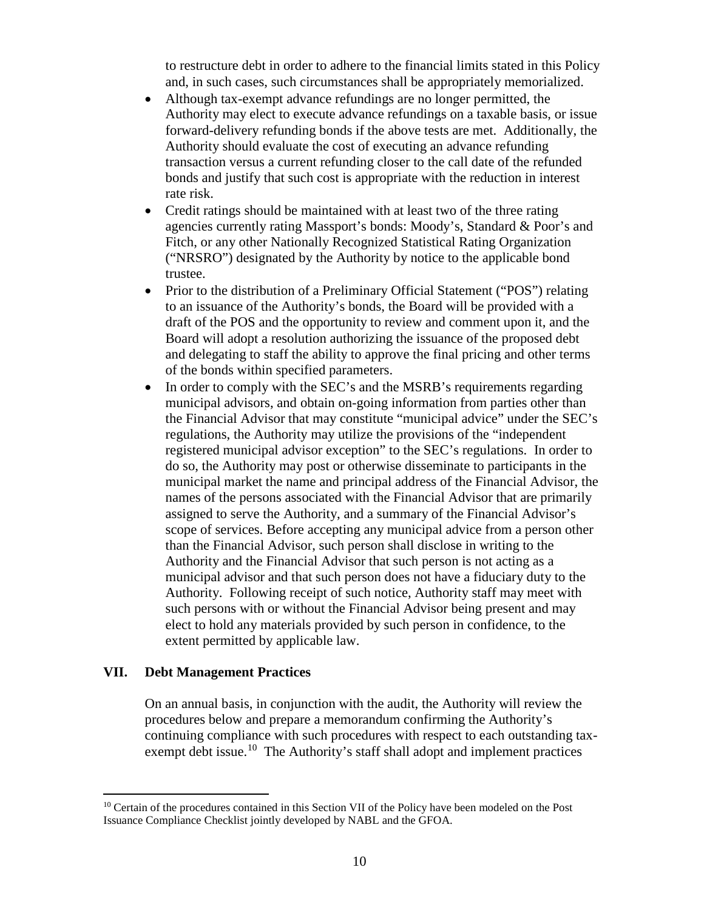to restructure debt in order to adhere to the financial limits stated in this Policy and, in such cases, such circumstances shall be appropriately memorialized.

- Although tax-exempt advance refundings are no longer permitted, the Authority may elect to execute advance refundings on a taxable basis, or issue forward-delivery refunding bonds if the above tests are met. Additionally, the Authority should evaluate the cost of executing an advance refunding transaction versus a current refunding closer to the call date of the refunded bonds and justify that such cost is appropriate with the reduction in interest rate risk.
- Credit ratings should be maintained with at least two of the three rating agencies currently rating Massport's bonds: Moody's, Standard & Poor's and Fitch, or any other Nationally Recognized Statistical Rating Organization ("NRSRO") designated by the Authority by notice to the applicable bond trustee.
- Prior to the distribution of a Preliminary Official Statement ("POS") relating to an issuance of the Authority's bonds, the Board will be provided with a draft of the POS and the opportunity to review and comment upon it, and the Board will adopt a resolution authorizing the issuance of the proposed debt and delegating to staff the ability to approve the final pricing and other terms of the bonds within specified parameters.
- In order to comply with the SEC's and the MSRB's requirements regarding municipal advisors, and obtain on-going information from parties other than the Financial Advisor that may constitute "municipal advice" under the SEC's regulations, the Authority may utilize the provisions of the "independent registered municipal advisor exception" to the SEC's regulations. In order to do so, the Authority may post or otherwise disseminate to participants in the municipal market the name and principal address of the Financial Advisor, the names of the persons associated with the Financial Advisor that are primarily assigned to serve the Authority, and a summary of the Financial Advisor's scope of services. Before accepting any municipal advice from a person other than the Financial Advisor, such person shall disclose in writing to the Authority and the Financial Advisor that such person is not acting as a municipal advisor and that such person does not have a fiduciary duty to the Authority. Following receipt of such notice, Authority staff may meet with such persons with or without the Financial Advisor being present and may elect to hold any materials provided by such person in confidence, to the extent permitted by applicable law.

#### **VII. Debt Management Practices**

On an annual basis, in conjunction with the audit, the Authority will review the procedures below and prepare a memorandum confirming the Authority's continuing compliance with such procedures with respect to each outstanding taxexempt debt issue.<sup>10</sup> The Authority's staff shall adopt and implement practices

<span id="page-9-0"></span> $10$  Certain of the procedures contained in this Section VII of the Policy have been modeled on the Post Issuance Compliance Checklist jointly developed by NABL and the GFOA.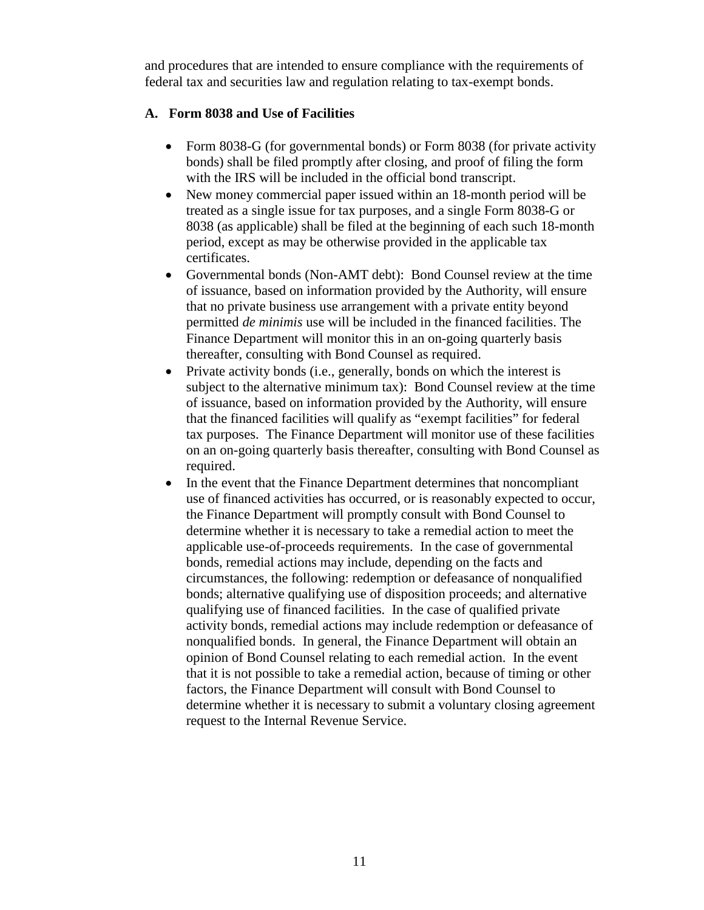and procedures that are intended to ensure compliance with the requirements of federal tax and securities law and regulation relating to tax-exempt bonds.

## **A. Form 8038 and Use of Facilities**

- Form 8038-G (for governmental bonds) or Form 8038 (for private activity bonds) shall be filed promptly after closing, and proof of filing the form with the IRS will be included in the official bond transcript.
- New money commercial paper issued within an 18-month period will be treated as a single issue for tax purposes, and a single Form 8038-G or 8038 (as applicable) shall be filed at the beginning of each such 18-month period, except as may be otherwise provided in the applicable tax certificates.
- Governmental bonds (Non-AMT debt): Bond Counsel review at the time of issuance, based on information provided by the Authority, will ensure that no private business use arrangement with a private entity beyond permitted *de minimis* use will be included in the financed facilities. The Finance Department will monitor this in an on-going quarterly basis thereafter, consulting with Bond Counsel as required.
- Private activity bonds (i.e., generally, bonds on which the interest is subject to the alternative minimum tax): Bond Counsel review at the time of issuance, based on information provided by the Authority, will ensure that the financed facilities will qualify as "exempt facilities" for federal tax purposes. The Finance Department will monitor use of these facilities on an on-going quarterly basis thereafter, consulting with Bond Counsel as required.
- In the event that the Finance Department determines that noncompliant use of financed activities has occurred, or is reasonably expected to occur, the Finance Department will promptly consult with Bond Counsel to determine whether it is necessary to take a remedial action to meet the applicable use-of-proceeds requirements. In the case of governmental bonds, remedial actions may include, depending on the facts and circumstances, the following: redemption or defeasance of nonqualified bonds; alternative qualifying use of disposition proceeds; and alternative qualifying use of financed facilities. In the case of qualified private activity bonds, remedial actions may include redemption or defeasance of nonqualified bonds. In general, the Finance Department will obtain an opinion of Bond Counsel relating to each remedial action. In the event that it is not possible to take a remedial action, because of timing or other factors, the Finance Department will consult with Bond Counsel to determine whether it is necessary to submit a voluntary closing agreement request to the Internal Revenue Service.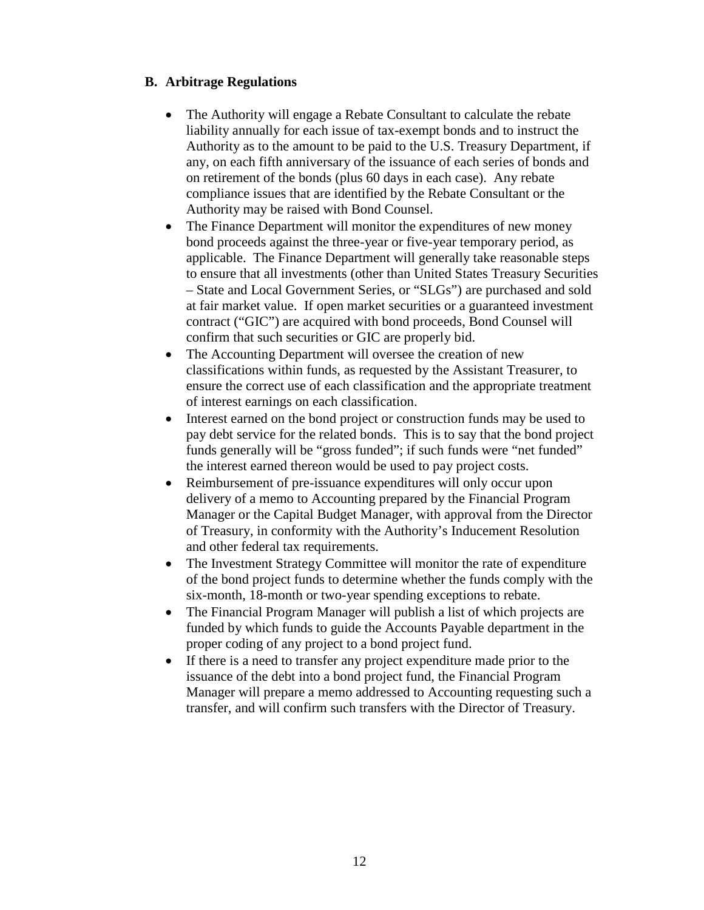## **B. Arbitrage Regulations**

- The Authority will engage a Rebate Consultant to calculate the rebate liability annually for each issue of tax-exempt bonds and to instruct the Authority as to the amount to be paid to the U.S. Treasury Department, if any, on each fifth anniversary of the issuance of each series of bonds and on retirement of the bonds (plus 60 days in each case). Any rebate compliance issues that are identified by the Rebate Consultant or the Authority may be raised with Bond Counsel.
- The Finance Department will monitor the expenditures of new money bond proceeds against the three-year or five-year temporary period, as applicable. The Finance Department will generally take reasonable steps to ensure that all investments (other than United States Treasury Securities – State and Local Government Series, or "SLGs") are purchased and sold at fair market value. If open market securities or a guaranteed investment contract ("GIC") are acquired with bond proceeds, Bond Counsel will confirm that such securities or GIC are properly bid.
- The Accounting Department will oversee the creation of new classifications within funds, as requested by the Assistant Treasurer, to ensure the correct use of each classification and the appropriate treatment of interest earnings on each classification.
- Interest earned on the bond project or construction funds may be used to pay debt service for the related bonds. This is to say that the bond project funds generally will be "gross funded"; if such funds were "net funded" the interest earned thereon would be used to pay project costs.
- Reimbursement of pre-issuance expenditures will only occur upon delivery of a memo to Accounting prepared by the Financial Program Manager or the Capital Budget Manager, with approval from the Director of Treasury, in conformity with the Authority's Inducement Resolution and other federal tax requirements.
- The Investment Strategy Committee will monitor the rate of expenditure of the bond project funds to determine whether the funds comply with the six-month, 18-month or two-year spending exceptions to rebate.
- The Financial Program Manager will publish a list of which projects are funded by which funds to guide the Accounts Payable department in the proper coding of any project to a bond project fund.
- If there is a need to transfer any project expenditure made prior to the issuance of the debt into a bond project fund, the Financial Program Manager will prepare a memo addressed to Accounting requesting such a transfer, and will confirm such transfers with the Director of Treasury.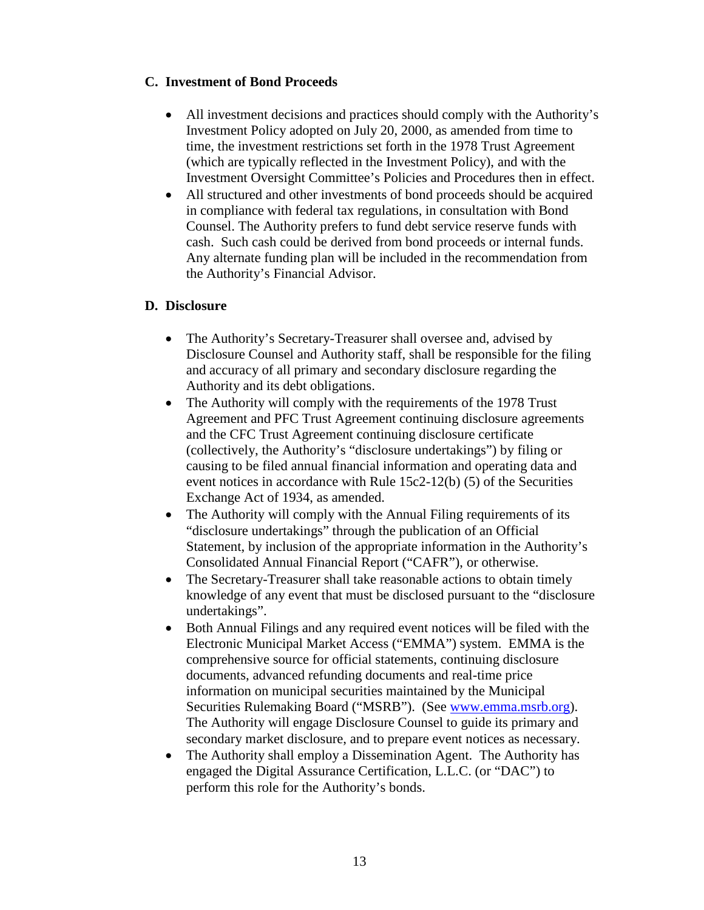#### **C. Investment of Bond Proceeds**

- All investment decisions and practices should comply with the Authority's Investment Policy adopted on July 20, 2000, as amended from time to time, the investment restrictions set forth in the 1978 Trust Agreement (which are typically reflected in the Investment Policy), and with the Investment Oversight Committee's Policies and Procedures then in effect.
- All structured and other investments of bond proceeds should be acquired in compliance with federal tax regulations, in consultation with Bond Counsel. The Authority prefers to fund debt service reserve funds with cash. Such cash could be derived from bond proceeds or internal funds. Any alternate funding plan will be included in the recommendation from the Authority's Financial Advisor.

### **D. Disclosure**

- The Authority's Secretary-Treasurer shall oversee and, advised by Disclosure Counsel and Authority staff, shall be responsible for the filing and accuracy of all primary and secondary disclosure regarding the Authority and its debt obligations.
- The Authority will comply with the requirements of the 1978 Trust Agreement and PFC Trust Agreement continuing disclosure agreements and the CFC Trust Agreement continuing disclosure certificate (collectively, the Authority's "disclosure undertakings") by filing or causing to be filed annual financial information and operating data and event notices in accordance with Rule 15c2-12(b) (5) of the Securities Exchange Act of 1934, as amended.
- The Authority will comply with the Annual Filing requirements of its "disclosure undertakings" through the publication of an Official Statement, by inclusion of the appropriate information in the Authority's Consolidated Annual Financial Report ("CAFR"), or otherwise.
- The Secretary-Treasurer shall take reasonable actions to obtain timely knowledge of any event that must be disclosed pursuant to the "disclosure undertakings".
- Both Annual Filings and any required event notices will be filed with the Electronic Municipal Market Access ("EMMA") system. EMMA is the comprehensive source for official statements, continuing disclosure documents, advanced refunding documents and real-time price information on municipal securities maintained by the Municipal Securities Rulemaking Board ("MSRB"). (See [www.emma.msrb.org\)](http://www.emma.msrb.org/). The Authority will engage Disclosure Counsel to guide its primary and secondary market disclosure, and to prepare event notices as necessary.
- The Authority shall employ a Dissemination Agent. The Authority has engaged the Digital Assurance Certification, L.L.C. (or "DAC") to perform this role for the Authority's bonds.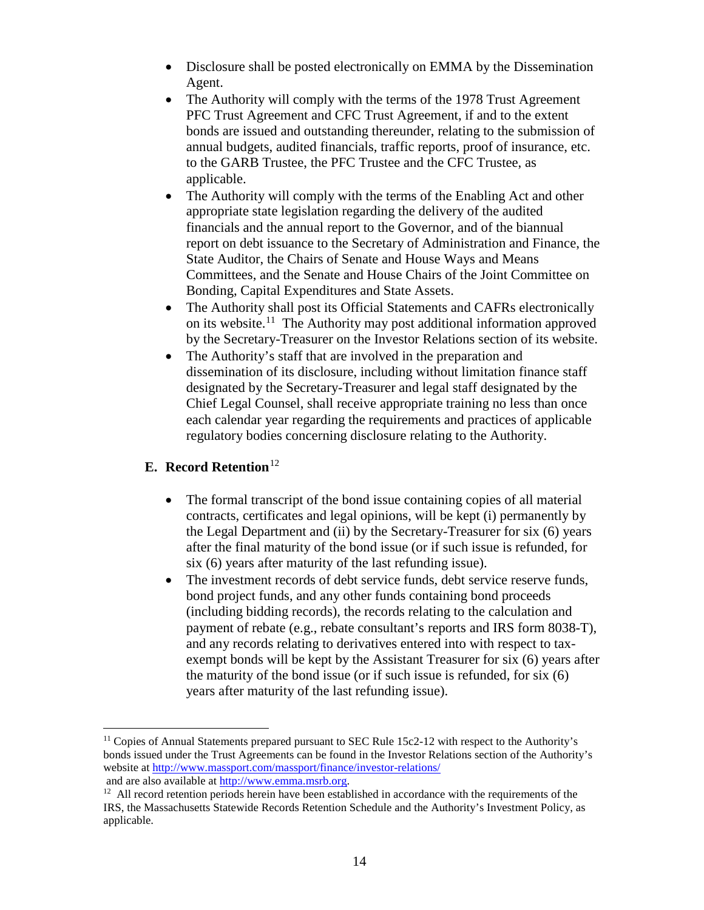- Disclosure shall be posted electronically on EMMA by the Dissemination Agent.
- The Authority will comply with the terms of the 1978 Trust Agreement PFC Trust Agreement and CFC Trust Agreement, if and to the extent bonds are issued and outstanding thereunder, relating to the submission of annual budgets, audited financials, traffic reports, proof of insurance, etc. to the GARB Trustee, the PFC Trustee and the CFC Trustee, as applicable.
- The Authority will comply with the terms of the Enabling Act and other appropriate state legislation regarding the delivery of the audited financials and the annual report to the Governor, and of the biannual report on debt issuance to the Secretary of Administration and Finance, the State Auditor, the Chairs of Senate and House Ways and Means Committees, and the Senate and House Chairs of the Joint Committee on Bonding, Capital Expenditures and State Assets.
- The Authority shall post its Official Statements and CAFRs electronically on its website.<sup>11</sup> The Authority may post additional information approved by the Secretary-Treasurer on the Investor Relations section of its website.
- The Authority's staff that are involved in the preparation and dissemination of its disclosure, including without limitation finance staff designated by the Secretary-Treasurer and legal staff designated by the Chief Legal Counsel, shall receive appropriate training no less than once each calendar year regarding the requirements and practices of applicable regulatory bodies concerning disclosure relating to the Authority.

### **E.** Record Retention<sup>[12](#page-13-1)</sup>

- The formal transcript of the bond issue containing copies of all material contracts, certificates and legal opinions, will be kept (i) permanently by the Legal Department and (ii) by the Secretary-Treasurer for six (6) years after the final maturity of the bond issue (or if such issue is refunded, for six (6) years after maturity of the last refunding issue).
- The investment records of debt service funds, debt service reserve funds, bond project funds, and any other funds containing bond proceeds (including bidding records), the records relating to the calculation and payment of rebate (e.g., rebate consultant's reports and IRS form 8038-T), and any records relating to derivatives entered into with respect to taxexempt bonds will be kept by the Assistant Treasurer for six (6) years after the maturity of the bond issue (or if such issue is refunded, for six (6) years after maturity of the last refunding issue).

<span id="page-13-0"></span><sup>&</sup>lt;sup>11</sup> Copies of Annual Statements prepared pursuant to SEC Rule 15c2-12 with respect to the Authority's bonds issued under the Trust Agreements can be found in the Investor Relations section of the Authority's website at<http://www.massport.com/massport/finance/investor-relations/>

and are also available at [http://www.emma.msrb.org.](http://www.emma.msrb.org/)

<span id="page-13-1"></span><sup>&</sup>lt;sup>12</sup> All record retention periods herein have been established in accordance with the requirements of the IRS, the Massachusetts Statewide Records Retention Schedule and the Authority's Investment Policy, as applicable.